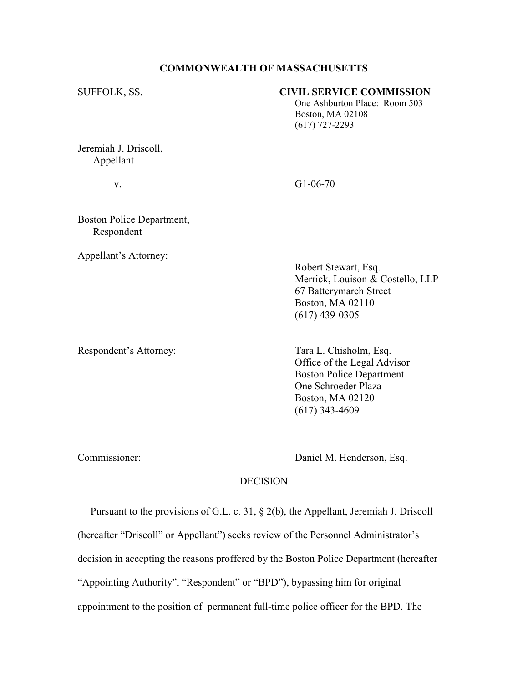### COMMONWEALTH OF MASSACHUSETTS

#### SUFFOLK, SS. CIVIL SERVICE COMMISSION

 One Ashburton Place: Room 503 Boston, MA 02108 (617) 727-2293

Jeremiah J. Driscoll, Appellant

v. G1-06-70

Boston Police Department, Respondent

Appellant's Attorney:

 Robert Stewart, Esq. Merrick, Louison & Costello, LLP 67 Batterymarch Street Boston, MA 02110 (617) 439-0305

Respondent's Attorney: Tara L. Chisholm, Esq.

 Office of the Legal Advisor Boston Police Department One Schroeder Plaza Boston, MA 02120 (617) 343-4609

Commissioner: Daniel M. Henderson, Esq.

## **DECISION**

 Pursuant to the provisions of G.L. c. 31, § 2(b), the Appellant, Jeremiah J. Driscoll (hereafter "Driscoll" or Appellant") seeks review of the Personnel Administrator's decision in accepting the reasons proffered by the Boston Police Department (hereafter "Appointing Authority", "Respondent" or "BPD"), bypassing him for original appointment to the position of permanent full-time police officer for the BPD. The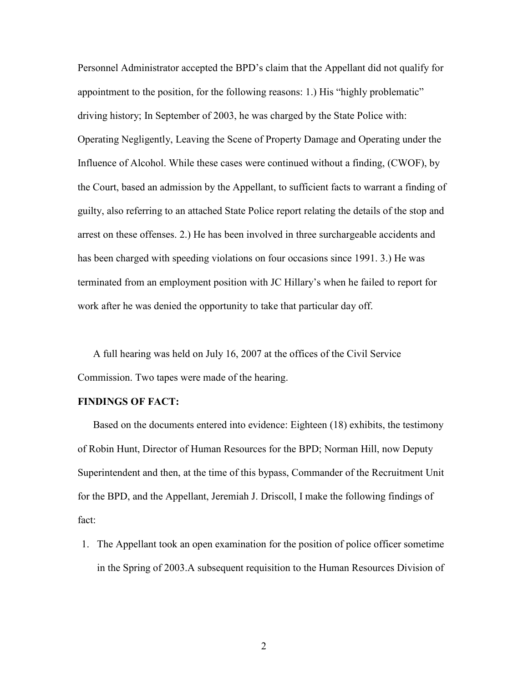Personnel Administrator accepted the BPD's claim that the Appellant did not qualify for appointment to the position, for the following reasons: 1.) His "highly problematic" driving history; In September of 2003, he was charged by the State Police with: Operating Negligently, Leaving the Scene of Property Damage and Operating under the Influence of Alcohol. While these cases were continued without a finding, (CWOF), by the Court, based an admission by the Appellant, to sufficient facts to warrant a finding of guilty, also referring to an attached State Police report relating the details of the stop and arrest on these offenses. 2.) He has been involved in three surchargeable accidents and has been charged with speeding violations on four occasions since 1991. 3.) He was terminated from an employment position with JC Hillary's when he failed to report for work after he was denied the opportunity to take that particular day off.

A full hearing was held on July 16, 2007 at the offices of the Civil Service Commission. Two tapes were made of the hearing.

#### FINDINGS OF FACT:

 Based on the documents entered into evidence: Eighteen (18) exhibits, the testimony of Robin Hunt, Director of Human Resources for the BPD; Norman Hill, now Deputy Superintendent and then, at the time of this bypass, Commander of the Recruitment Unit for the BPD, and the Appellant, Jeremiah J. Driscoll, I make the following findings of fact:

1. The Appellant took an open examination for the position of police officer sometime in the Spring of 2003.A subsequent requisition to the Human Resources Division of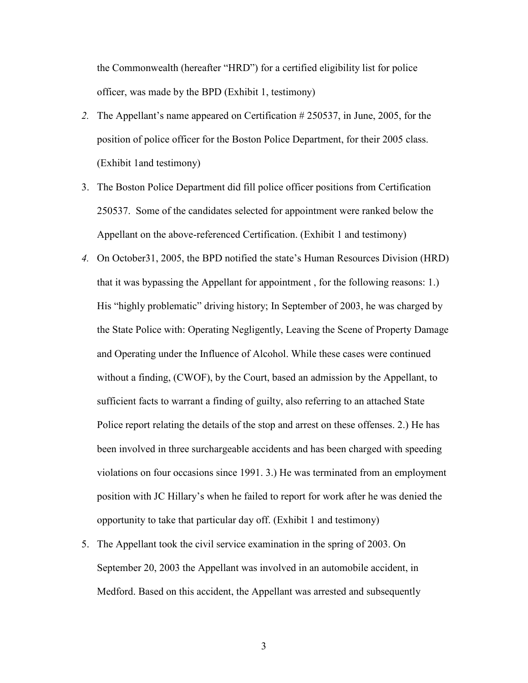the Commonwealth (hereafter "HRD") for a certified eligibility list for police officer, was made by the BPD (Exhibit 1, testimony)

- 2. The Appellant's name appeared on Certification # 250537, in June, 2005, for the position of police officer for the Boston Police Department, for their 2005 class. (Exhibit 1and testimony)
- 3. The Boston Police Department did fill police officer positions from Certification 250537. Some of the candidates selected for appointment were ranked below the Appellant on the above-referenced Certification. (Exhibit 1 and testimony)
- 4. On October31, 2005, the BPD notified the state's Human Resources Division (HRD) that it was bypassing the Appellant for appointment , for the following reasons: 1.) His "highly problematic" driving history; In September of 2003, he was charged by the State Police with: Operating Negligently, Leaving the Scene of Property Damage and Operating under the Influence of Alcohol. While these cases were continued without a finding, (CWOF), by the Court, based an admission by the Appellant, to sufficient facts to warrant a finding of guilty, also referring to an attached State Police report relating the details of the stop and arrest on these offenses. 2.) He has been involved in three surchargeable accidents and has been charged with speeding violations on four occasions since 1991. 3.) He was terminated from an employment position with JC Hillary's when he failed to report for work after he was denied the opportunity to take that particular day off. (Exhibit 1 and testimony)
- 5. The Appellant took the civil service examination in the spring of 2003. On September 20, 2003 the Appellant was involved in an automobile accident, in Medford. Based on this accident, the Appellant was arrested and subsequently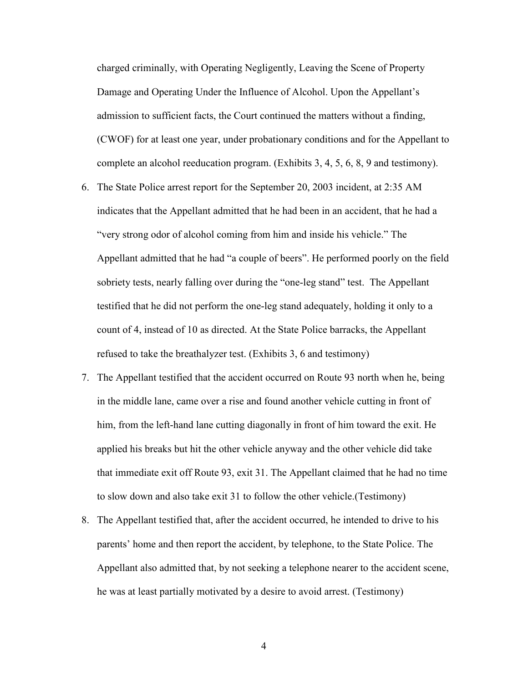charged criminally, with Operating Negligently, Leaving the Scene of Property Damage and Operating Under the Influence of Alcohol. Upon the Appellant's admission to sufficient facts, the Court continued the matters without a finding, (CWOF) for at least one year, under probationary conditions and for the Appellant to complete an alcohol reeducation program. (Exhibits 3, 4, 5, 6, 8, 9 and testimony).

- 6. The State Police arrest report for the September 20, 2003 incident, at 2:35 AM indicates that the Appellant admitted that he had been in an accident, that he had a "very strong odor of alcohol coming from him and inside his vehicle." The Appellant admitted that he had "a couple of beers". He performed poorly on the field sobriety tests, nearly falling over during the "one-leg stand" test. The Appellant testified that he did not perform the one-leg stand adequately, holding it only to a count of 4, instead of 10 as directed. At the State Police barracks, the Appellant refused to take the breathalyzer test. (Exhibits 3, 6 and testimony)
- 7. The Appellant testified that the accident occurred on Route 93 north when he, being in the middle lane, came over a rise and found another vehicle cutting in front of him, from the left-hand lane cutting diagonally in front of him toward the exit. He applied his breaks but hit the other vehicle anyway and the other vehicle did take that immediate exit off Route 93, exit 31. The Appellant claimed that he had no time to slow down and also take exit 31 to follow the other vehicle.(Testimony)
- 8. The Appellant testified that, after the accident occurred, he intended to drive to his parents' home and then report the accident, by telephone, to the State Police. The Appellant also admitted that, by not seeking a telephone nearer to the accident scene, he was at least partially motivated by a desire to avoid arrest. (Testimony)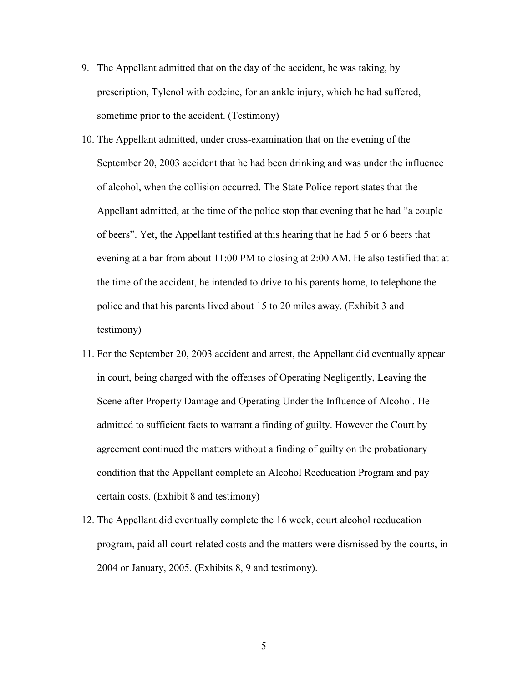- 9. The Appellant admitted that on the day of the accident, he was taking, by prescription, Tylenol with codeine, for an ankle injury, which he had suffered, sometime prior to the accident. (Testimony)
- 10. The Appellant admitted, under cross-examination that on the evening of the September 20, 2003 accident that he had been drinking and was under the influence of alcohol, when the collision occurred. The State Police report states that the Appellant admitted, at the time of the police stop that evening that he had "a couple of beers". Yet, the Appellant testified at this hearing that he had 5 or 6 beers that evening at a bar from about 11:00 PM to closing at 2:00 AM. He also testified that at the time of the accident, he intended to drive to his parents home, to telephone the police and that his parents lived about 15 to 20 miles away. (Exhibit 3 and testimony)
- 11. For the September 20, 2003 accident and arrest, the Appellant did eventually appear in court, being charged with the offenses of Operating Negligently, Leaving the Scene after Property Damage and Operating Under the Influence of Alcohol. He admitted to sufficient facts to warrant a finding of guilty. However the Court by agreement continued the matters without a finding of guilty on the probationary condition that the Appellant complete an Alcohol Reeducation Program and pay certain costs. (Exhibit 8 and testimony)
- 12. The Appellant did eventually complete the 16 week, court alcohol reeducation program, paid all court-related costs and the matters were dismissed by the courts, in 2004 or January, 2005. (Exhibits 8, 9 and testimony).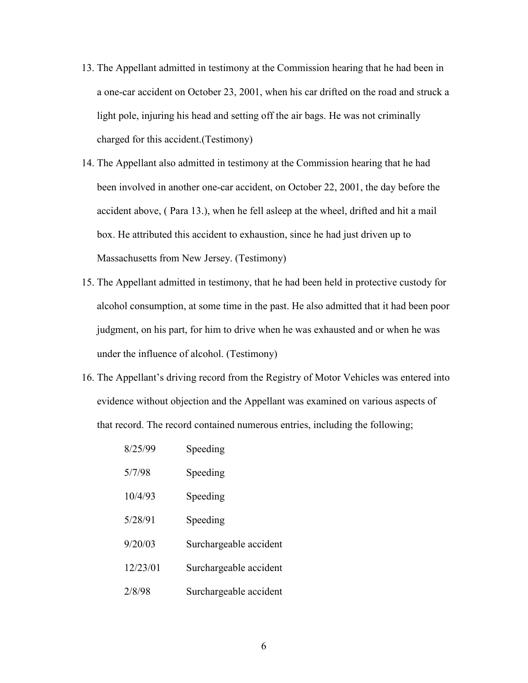- 13. The Appellant admitted in testimony at the Commission hearing that he had been in a one-car accident on October 23, 2001, when his car drifted on the road and struck a light pole, injuring his head and setting off the air bags. He was not criminally charged for this accident.(Testimony)
- 14. The Appellant also admitted in testimony at the Commission hearing that he had been involved in another one-car accident, on October 22, 2001, the day before the accident above, ( Para 13.), when he fell asleep at the wheel, drifted and hit a mail box. He attributed this accident to exhaustion, since he had just driven up to Massachusetts from New Jersey. (Testimony)
- 15. The Appellant admitted in testimony, that he had been held in protective custody for alcohol consumption, at some time in the past. He also admitted that it had been poor judgment, on his part, for him to drive when he was exhausted and or when he was under the influence of alcohol. (Testimony)
- 16. The Appellant's driving record from the Registry of Motor Vehicles was entered into evidence without objection and the Appellant was examined on various aspects of that record. The record contained numerous entries, including the following;

| 8/25/99  | Speeding               |
|----------|------------------------|
| 5/7/98   | Speeding               |
| 10/4/93  | Speeding               |
| 5/28/91  | Speeding               |
| 9/20/03  | Surchargeable accident |
| 12/23/01 | Surchargeable accident |
| 2/8/98   | Surchargeable accident |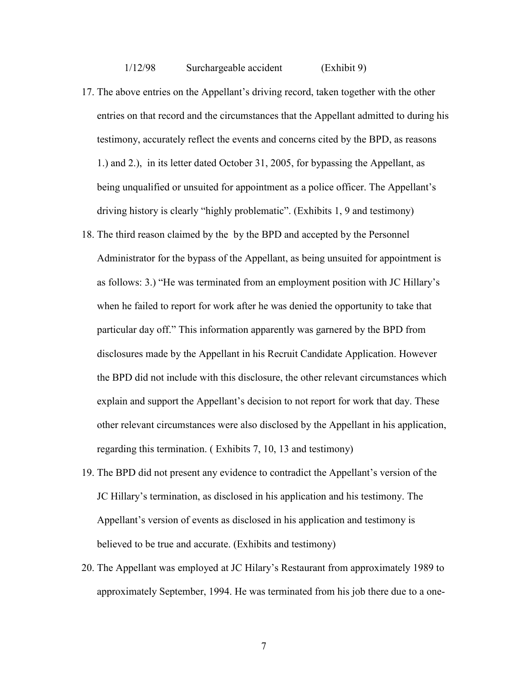1/12/98 Surchargeable accident (Exhibit 9)

- 17. The above entries on the Appellant's driving record, taken together with the other entries on that record and the circumstances that the Appellant admitted to during his testimony, accurately reflect the events and concerns cited by the BPD, as reasons 1.) and 2.), in its letter dated October 31, 2005, for bypassing the Appellant, as being unqualified or unsuited for appointment as a police officer. The Appellant's driving history is clearly "highly problematic". (Exhibits 1, 9 and testimony)
- 18. The third reason claimed by the by the BPD and accepted by the Personnel Administrator for the bypass of the Appellant, as being unsuited for appointment is as follows: 3.) "He was terminated from an employment position with JC Hillary's when he failed to report for work after he was denied the opportunity to take that particular day off." This information apparently was garnered by the BPD from disclosures made by the Appellant in his Recruit Candidate Application. However the BPD did not include with this disclosure, the other relevant circumstances which explain and support the Appellant's decision to not report for work that day. These other relevant circumstances were also disclosed by the Appellant in his application, regarding this termination. ( Exhibits 7, 10, 13 and testimony)
- 19. The BPD did not present any evidence to contradict the Appellant's version of the JC Hillary's termination, as disclosed in his application and his testimony. The Appellant's version of events as disclosed in his application and testimony is believed to be true and accurate. (Exhibits and testimony)
- 20. The Appellant was employed at JC Hilary's Restaurant from approximately 1989 to approximately September, 1994. He was terminated from his job there due to a one-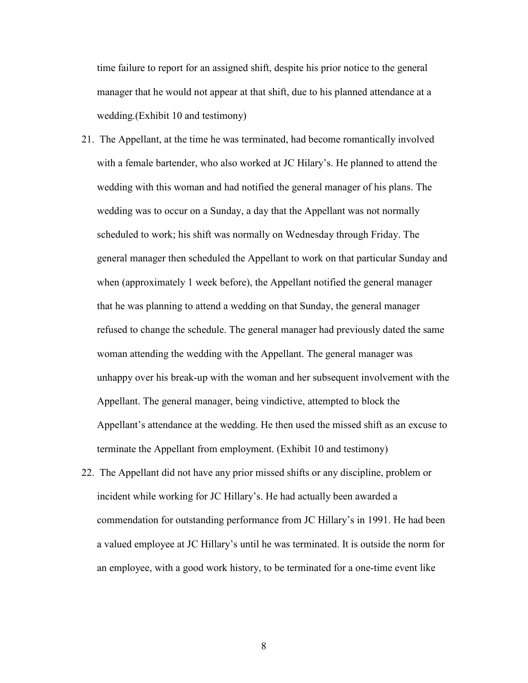time failure to report for an assigned shift, despite his prior notice to the general manager that he would not appear at that shift, due to his planned attendance at a wedding.(Exhibit 10 and testimony)

- 21. The Appellant, at the time he was terminated, had become romantically involved with a female bartender, who also worked at JC Hilary's. He planned to attend the wedding with this woman and had notified the general manager of his plans. The wedding was to occur on a Sunday, a day that the Appellant was not normally scheduled to work; his shift was normally on Wednesday through Friday. The general manager then scheduled the Appellant to work on that particular Sunday and when (approximately 1 week before), the Appellant notified the general manager that he was planning to attend a wedding on that Sunday, the general manager refused to change the schedule. The general manager had previously dated the same woman attending the wedding with the Appellant. The general manager was unhappy over his break-up with the woman and her subsequent involvement with the Appellant. The general manager, being vindictive, attempted to block the Appellant's attendance at the wedding. He then used the missed shift as an excuse to terminate the Appellant from employment. (Exhibit 10 and testimony)
- 22. The Appellant did not have any prior missed shifts or any discipline, problem or incident while working for JC Hillary's. He had actually been awarded a commendation for outstanding performance from JC Hillary's in 1991. He had been a valued employee at JC Hillary's until he was terminated. It is outside the norm for an employee, with a good work history, to be terminated for a one-time event like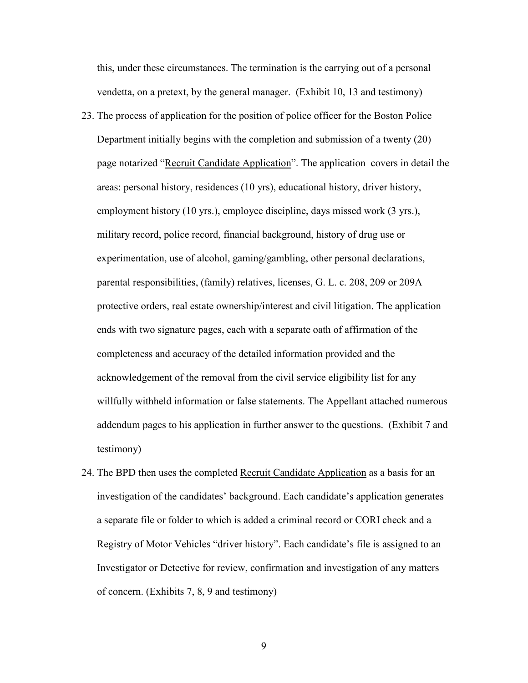this, under these circumstances. The termination is the carrying out of a personal vendetta, on a pretext, by the general manager. (Exhibit 10, 13 and testimony)

- 23. The process of application for the position of police officer for the Boston Police Department initially begins with the completion and submission of a twenty (20) page notarized "Recruit Candidate Application". The application covers in detail the areas: personal history, residences (10 yrs), educational history, driver history, employment history (10 yrs.), employee discipline, days missed work (3 yrs.), military record, police record, financial background, history of drug use or experimentation, use of alcohol, gaming/gambling, other personal declarations, parental responsibilities, (family) relatives, licenses, G. L. c. 208, 209 or 209A protective orders, real estate ownership/interest and civil litigation. The application ends with two signature pages, each with a separate oath of affirmation of the completeness and accuracy of the detailed information provided and the acknowledgement of the removal from the civil service eligibility list for any willfully withheld information or false statements. The Appellant attached numerous addendum pages to his application in further answer to the questions. (Exhibit 7 and testimony)
- 24. The BPD then uses the completed Recruit Candidate Application as a basis for an investigation of the candidates' background. Each candidate's application generates a separate file or folder to which is added a criminal record or CORI check and a Registry of Motor Vehicles "driver history". Each candidate's file is assigned to an Investigator or Detective for review, confirmation and investigation of any matters of concern. (Exhibits 7, 8, 9 and testimony)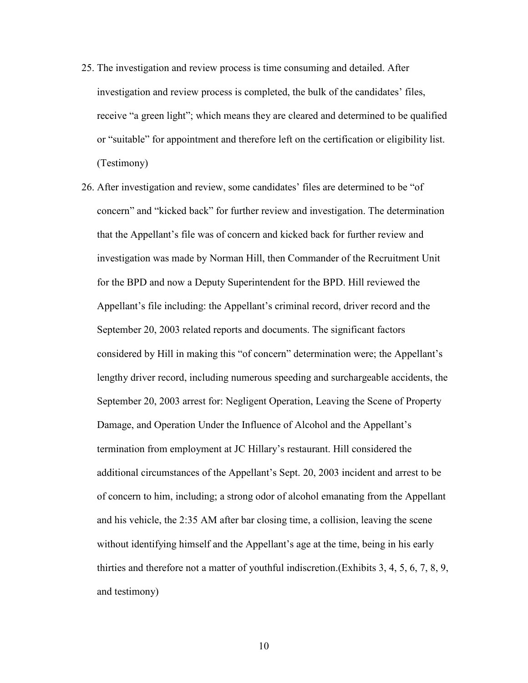- 25. The investigation and review process is time consuming and detailed. After investigation and review process is completed, the bulk of the candidates' files, receive "a green light"; which means they are cleared and determined to be qualified or "suitable" for appointment and therefore left on the certification or eligibility list. (Testimony)
- 26. After investigation and review, some candidates' files are determined to be "of concern" and "kicked back" for further review and investigation. The determination that the Appellant's file was of concern and kicked back for further review and investigation was made by Norman Hill, then Commander of the Recruitment Unit for the BPD and now a Deputy Superintendent for the BPD. Hill reviewed the Appellant's file including: the Appellant's criminal record, driver record and the September 20, 2003 related reports and documents. The significant factors considered by Hill in making this "of concern" determination were; the Appellant's lengthy driver record, including numerous speeding and surchargeable accidents, the September 20, 2003 arrest for: Negligent Operation, Leaving the Scene of Property Damage, and Operation Under the Influence of Alcohol and the Appellant's termination from employment at JC Hillary's restaurant. Hill considered the additional circumstances of the Appellant's Sept. 20, 2003 incident and arrest to be of concern to him, including; a strong odor of alcohol emanating from the Appellant and his vehicle, the 2:35 AM after bar closing time, a collision, leaving the scene without identifying himself and the Appellant's age at the time, being in his early thirties and therefore not a matter of youthful indiscretion.(Exhibits 3, 4, 5, 6, 7, 8, 9, and testimony)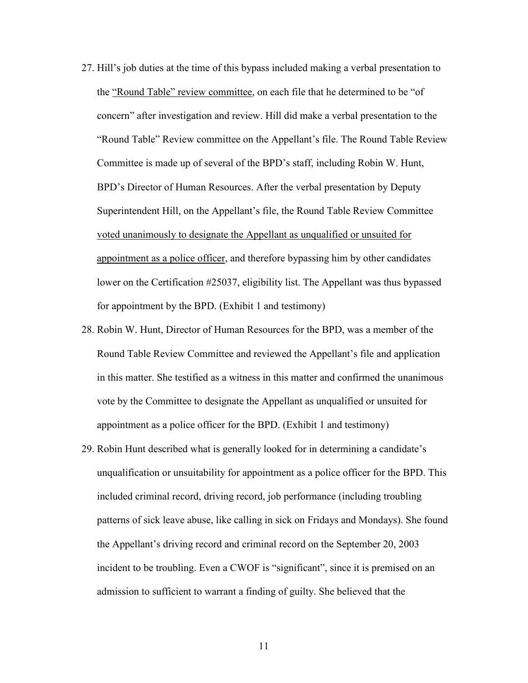- 27. Hill's job duties at the time of this bypass included making a verbal presentation to the "Round Table" review committee, on each file that he determined to be "of concern" after investigation and review. Hill did make a verbal presentation to the "Round Table" Review committee on the Appellant's file. The Round Table Review Committee is made up of several of the BPD's staff, including Robin W. Hunt, BPD's Director of Human Resources. After the verbal presentation by Deputy Superintendent Hill, on the Appellant's file, the Round Table Review Committee voted unanimously to designate the Appellant as unqualified or unsuited for appointment as a police officer, and therefore bypassing him by other candidates lower on the Certification #25037, eligibility list. The Appellant was thus bypassed for appointment by the BPD. (Exhibit 1 and testimony)
- 28. Robin W. Hunt, Director of Human Resources for the BPD, was a member of the Round Table Review Committee and reviewed the Appellant's file and application in this matter. She testified as a witness in this matter and confirmed the unanimous vote by the Committee to designate the Appellant as unqualified or unsuited for appointment as a police officer for the BPD. (Exhibit 1 and testimony)
- 29. Robin Hunt described what is generally looked for in determining a candidate's unqualification or unsuitability for appointment as a police officer for the BPD. This included criminal record, driving record, job performance (including troubling patterns of sick leave abuse, like calling in sick on Fridays and Mondays). She found the Appellant's driving record and criminal record on the September 20, 2003 incident to be troubling. Even a CWOF is "significant", since it is premised on an admission to sufficient to warrant a finding of guilty. She believed that the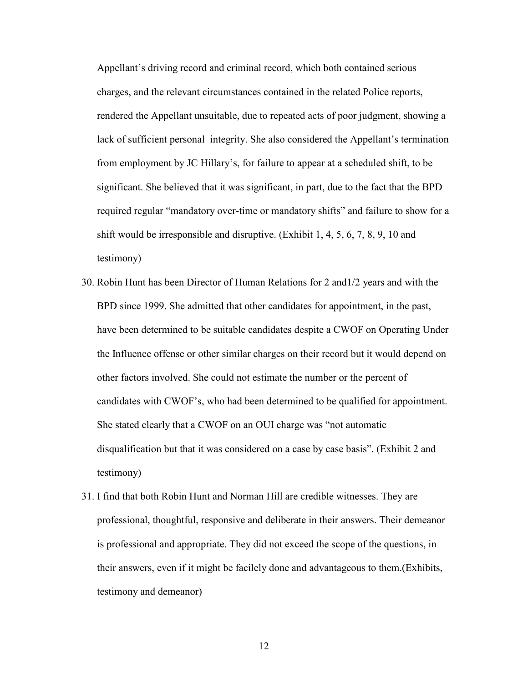Appellant's driving record and criminal record, which both contained serious charges, and the relevant circumstances contained in the related Police reports, rendered the Appellant unsuitable, due to repeated acts of poor judgment, showing a lack of sufficient personal integrity. She also considered the Appellant's termination from employment by JC Hillary's, for failure to appear at a scheduled shift, to be significant. She believed that it was significant, in part, due to the fact that the BPD required regular "mandatory over-time or mandatory shifts" and failure to show for a shift would be irresponsible and disruptive. (Exhibit 1, 4, 5, 6, 7, 8, 9, 10 and testimony)

- 30. Robin Hunt has been Director of Human Relations for 2 and1/2 years and with the BPD since 1999. She admitted that other candidates for appointment, in the past, have been determined to be suitable candidates despite a CWOF on Operating Under the Influence offense or other similar charges on their record but it would depend on other factors involved. She could not estimate the number or the percent of candidates with CWOF's, who had been determined to be qualified for appointment. She stated clearly that a CWOF on an OUI charge was "not automatic disqualification but that it was considered on a case by case basis". (Exhibit 2 and testimony)
- 31. I find that both Robin Hunt and Norman Hill are credible witnesses. They are professional, thoughtful, responsive and deliberate in their answers. Their demeanor is professional and appropriate. They did not exceed the scope of the questions, in their answers, even if it might be facilely done and advantageous to them.(Exhibits, testimony and demeanor)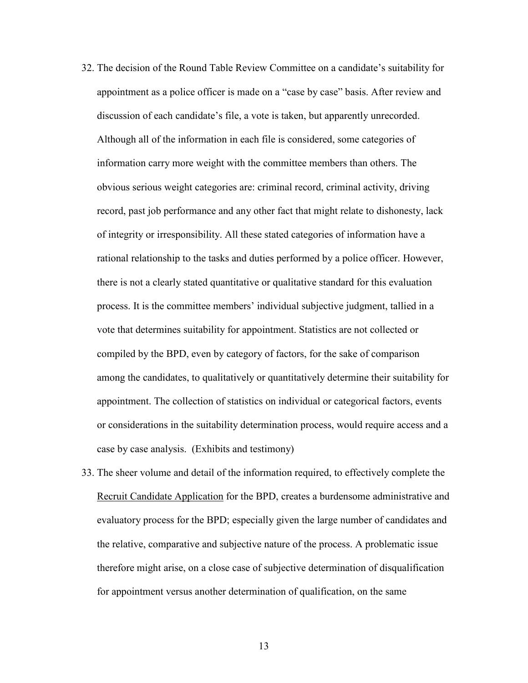- 32. The decision of the Round Table Review Committee on a candidate's suitability for appointment as a police officer is made on a "case by case" basis. After review and discussion of each candidate's file, a vote is taken, but apparently unrecorded. Although all of the information in each file is considered, some categories of information carry more weight with the committee members than others. The obvious serious weight categories are: criminal record, criminal activity, driving record, past job performance and any other fact that might relate to dishonesty, lack of integrity or irresponsibility. All these stated categories of information have a rational relationship to the tasks and duties performed by a police officer. However, there is not a clearly stated quantitative or qualitative standard for this evaluation process. It is the committee members' individual subjective judgment, tallied in a vote that determines suitability for appointment. Statistics are not collected or compiled by the BPD, even by category of factors, for the sake of comparison among the candidates, to qualitatively or quantitatively determine their suitability for appointment. The collection of statistics on individual or categorical factors, events or considerations in the suitability determination process, would require access and a case by case analysis. (Exhibits and testimony)
- 33. The sheer volume and detail of the information required, to effectively complete the Recruit Candidate Application for the BPD, creates a burdensome administrative and evaluatory process for the BPD; especially given the large number of candidates and the relative, comparative and subjective nature of the process. A problematic issue therefore might arise, on a close case of subjective determination of disqualification for appointment versus another determination of qualification, on the same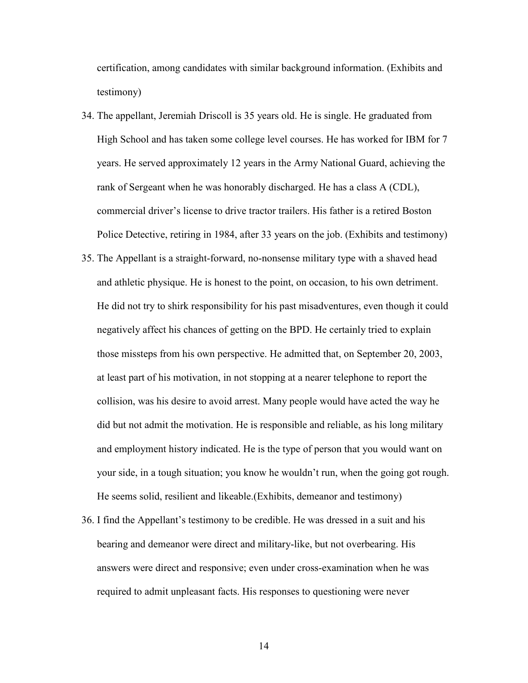certification, among candidates with similar background information. (Exhibits and testimony)

- 34. The appellant, Jeremiah Driscoll is 35 years old. He is single. He graduated from High School and has taken some college level courses. He has worked for IBM for 7 years. He served approximately 12 years in the Army National Guard, achieving the rank of Sergeant when he was honorably discharged. He has a class A (CDL), commercial driver's license to drive tractor trailers. His father is a retired Boston Police Detective, retiring in 1984, after 33 years on the job. (Exhibits and testimony)
- 35. The Appellant is a straight-forward, no-nonsense military type with a shaved head and athletic physique. He is honest to the point, on occasion, to his own detriment. He did not try to shirk responsibility for his past misadventures, even though it could negatively affect his chances of getting on the BPD. He certainly tried to explain those missteps from his own perspective. He admitted that, on September 20, 2003, at least part of his motivation, in not stopping at a nearer telephone to report the collision, was his desire to avoid arrest. Many people would have acted the way he did but not admit the motivation. He is responsible and reliable, as his long military and employment history indicated. He is the type of person that you would want on your side, in a tough situation; you know he wouldn't run, when the going got rough. He seems solid, resilient and likeable.(Exhibits, demeanor and testimony)
- 36. I find the Appellant's testimony to be credible. He was dressed in a suit and his bearing and demeanor were direct and military-like, but not overbearing. His answers were direct and responsive; even under cross-examination when he was required to admit unpleasant facts. His responses to questioning were never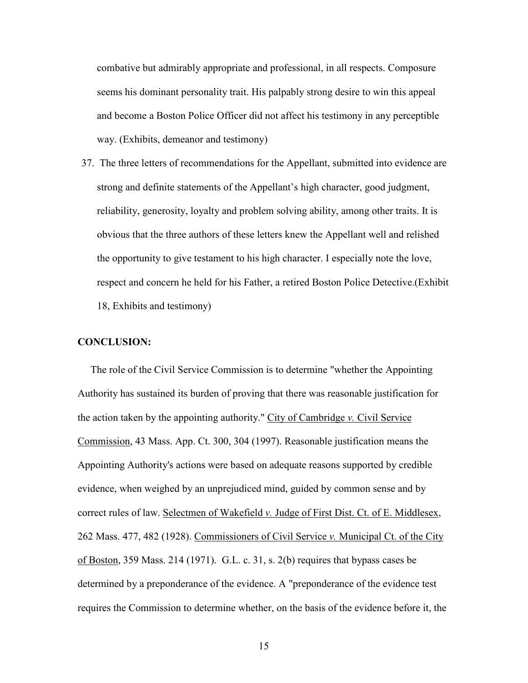combative but admirably appropriate and professional, in all respects. Composure seems his dominant personality trait. His palpably strong desire to win this appeal and become a Boston Police Officer did not affect his testimony in any perceptible way. (Exhibits, demeanor and testimony)

37. The three letters of recommendations for the Appellant, submitted into evidence are strong and definite statements of the Appellant's high character, good judgment, reliability, generosity, loyalty and problem solving ability, among other traits. It is obvious that the three authors of these letters knew the Appellant well and relished the opportunity to give testament to his high character. I especially note the love, respect and concern he held for his Father, a retired Boston Police Detective.(Exhibit 18, Exhibits and testimony)

# CONCLUSION:

 The role of the Civil Service Commission is to determine "whether the Appointing Authority has sustained its burden of proving that there was reasonable justification for the action taken by the appointing authority." City of Cambridge v. Civil Service Commission, 43 Mass. App. Ct. 300, 304 (1997). Reasonable justification means the Appointing Authority's actions were based on adequate reasons supported by credible evidence, when weighed by an unprejudiced mind, guided by common sense and by correct rules of law. Selectmen of Wakefield v. Judge of First Dist. Ct. of E. Middlesex, 262 Mass. 477, 482 (1928). Commissioners of Civil Service v. Municipal Ct. of the City of Boston, 359 Mass. 214 (1971). G.L. c. 31, s. 2(b) requires that bypass cases be determined by a preponderance of the evidence. A "preponderance of the evidence test requires the Commission to determine whether, on the basis of the evidence before it, the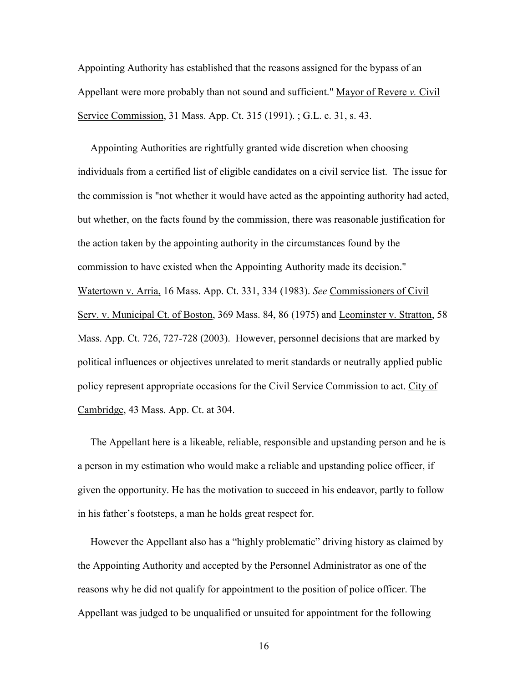Appointing Authority has established that the reasons assigned for the bypass of an Appellant were more probably than not sound and sufficient." Mayor of Revere v. Civil Service Commission, 31 Mass. App. Ct. 315 (1991). ; G.L. c. 31, s. 43.

 Appointing Authorities are rightfully granted wide discretion when choosing individuals from a certified list of eligible candidates on a civil service list. The issue for the commission is "not whether it would have acted as the appointing authority had acted, but whether, on the facts found by the commission, there was reasonable justification for the action taken by the appointing authority in the circumstances found by the commission to have existed when the Appointing Authority made its decision." Watertown v. Arria, 16 Mass. App. Ct. 331, 334 (1983). See Commissioners of Civil Serv. v. Municipal Ct. of Boston, 369 Mass. 84, 86 (1975) and Leominster v. Stratton, 58 Mass. App. Ct. 726, 727-728 (2003). However, personnel decisions that are marked by political influences or objectives unrelated to merit standards or neutrally applied public policy represent appropriate occasions for the Civil Service Commission to act. City of Cambridge, 43 Mass. App. Ct. at 304.

 The Appellant here is a likeable, reliable, responsible and upstanding person and he is a person in my estimation who would make a reliable and upstanding police officer, if given the opportunity. He has the motivation to succeed in his endeavor, partly to follow in his father's footsteps, a man he holds great respect for.

 However the Appellant also has a "highly problematic" driving history as claimed by the Appointing Authority and accepted by the Personnel Administrator as one of the reasons why he did not qualify for appointment to the position of police officer. The Appellant was judged to be unqualified or unsuited for appointment for the following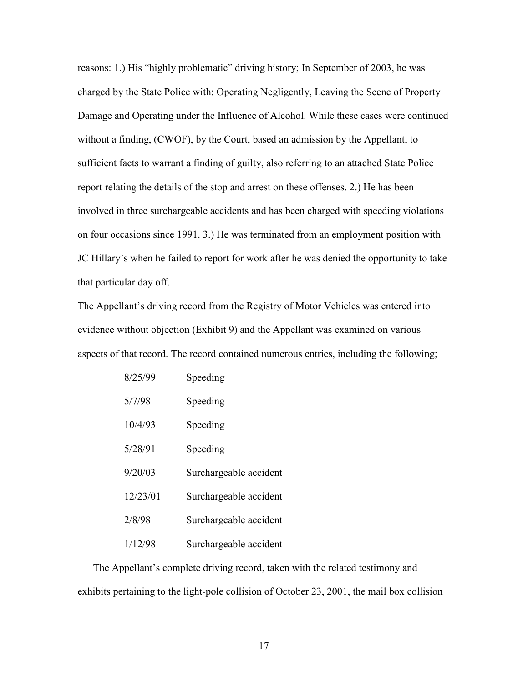reasons: 1.) His "highly problematic" driving history; In September of 2003, he was charged by the State Police with: Operating Negligently, Leaving the Scene of Property Damage and Operating under the Influence of Alcohol. While these cases were continued without a finding, (CWOF), by the Court, based an admission by the Appellant, to sufficient facts to warrant a finding of guilty, also referring to an attached State Police report relating the details of the stop and arrest on these offenses. 2.) He has been involved in three surchargeable accidents and has been charged with speeding violations on four occasions since 1991. 3.) He was terminated from an employment position with JC Hillary's when he failed to report for work after he was denied the opportunity to take that particular day off.

The Appellant's driving record from the Registry of Motor Vehicles was entered into evidence without objection (Exhibit 9) and the Appellant was examined on various aspects of that record. The record contained numerous entries, including the following;

| 8/25/99  | Speeding               |
|----------|------------------------|
| 5/7/98   | Speeding               |
| 10/4/93  | Speeding               |
| 5/28/91  | Speeding               |
| 9/20/03  | Surchargeable accident |
| 12/23/01 | Surchargeable accident |
| 2/8/98   | Surchargeable accident |
| 1/12/98  | Surchargeable accident |

 The Appellant's complete driving record, taken with the related testimony and exhibits pertaining to the light-pole collision of October 23, 2001, the mail box collision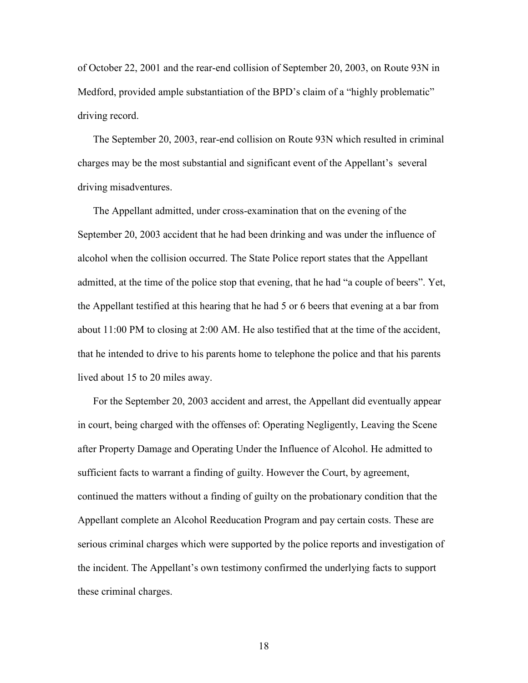of October 22, 2001 and the rear-end collision of September 20, 2003, on Route 93N in Medford, provided ample substantiation of the BPD's claim of a "highly problematic" driving record.

The September 20, 2003, rear-end collision on Route 93N which resulted in criminal charges may be the most substantial and significant event of the Appellant's several driving misadventures.

The Appellant admitted, under cross-examination that on the evening of the September 20, 2003 accident that he had been drinking and was under the influence of alcohol when the collision occurred. The State Police report states that the Appellant admitted, at the time of the police stop that evening, that he had "a couple of beers". Yet, the Appellant testified at this hearing that he had 5 or 6 beers that evening at a bar from about 11:00 PM to closing at 2:00 AM. He also testified that at the time of the accident, that he intended to drive to his parents home to telephone the police and that his parents lived about 15 to 20 miles away.

For the September 20, 2003 accident and arrest, the Appellant did eventually appear in court, being charged with the offenses of: Operating Negligently, Leaving the Scene after Property Damage and Operating Under the Influence of Alcohol. He admitted to sufficient facts to warrant a finding of guilty. However the Court, by agreement, continued the matters without a finding of guilty on the probationary condition that the Appellant complete an Alcohol Reeducation Program and pay certain costs. These are serious criminal charges which were supported by the police reports and investigation of the incident. The Appellant's own testimony confirmed the underlying facts to support these criminal charges.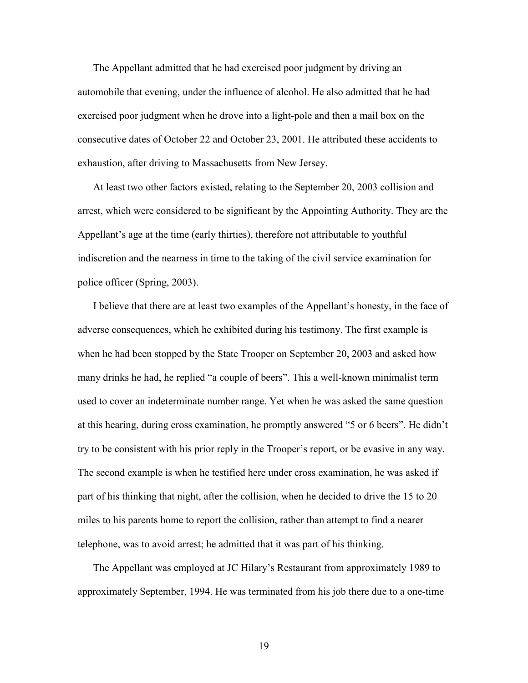The Appellant admitted that he had exercised poor judgment by driving an automobile that evening, under the influence of alcohol. He also admitted that he had exercised poor judgment when he drove into a light-pole and then a mail box on the consecutive dates of October 22 and October 23, 2001. He attributed these accidents to exhaustion, after driving to Massachusetts from New Jersey.

At least two other factors existed, relating to the September 20, 2003 collision and arrest, which were considered to be significant by the Appointing Authority. They are the Appellant's age at the time (early thirties), therefore not attributable to youthful indiscretion and the nearness in time to the taking of the civil service examination for police officer (Spring, 2003).

I believe that there are at least two examples of the Appellant's honesty, in the face of adverse consequences, which he exhibited during his testimony. The first example is when he had been stopped by the State Trooper on September 20, 2003 and asked how many drinks he had, he replied "a couple of beers". This a well-known minimalist term used to cover an indeterminate number range. Yet when he was asked the same question at this hearing, during cross examination, he promptly answered "5 or 6 beers". He didn't try to be consistent with his prior reply in the Trooper's report, or be evasive in any way. The second example is when he testified here under cross examination, he was asked if part of his thinking that night, after the collision, when he decided to drive the 15 to 20 miles to his parents home to report the collision, rather than attempt to find a nearer telephone, was to avoid arrest; he admitted that it was part of his thinking.

The Appellant was employed at JC Hilary's Restaurant from approximately 1989 to approximately September, 1994. He was terminated from his job there due to a one-time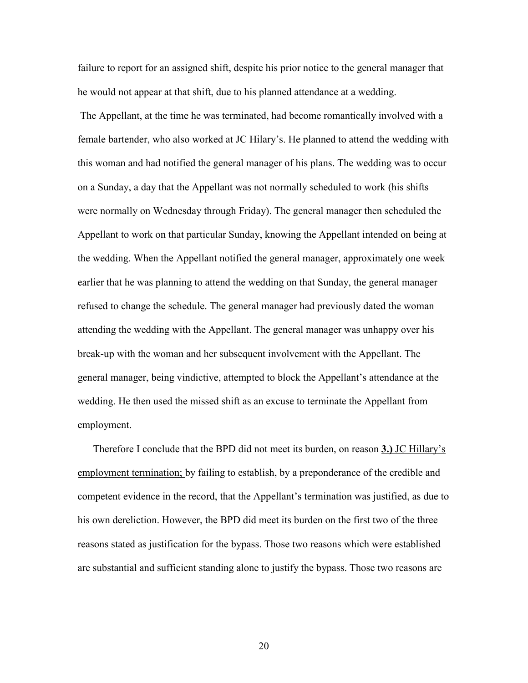failure to report for an assigned shift, despite his prior notice to the general manager that he would not appear at that shift, due to his planned attendance at a wedding.

 The Appellant, at the time he was terminated, had become romantically involved with a female bartender, who also worked at JC Hilary's. He planned to attend the wedding with this woman and had notified the general manager of his plans. The wedding was to occur on a Sunday, a day that the Appellant was not normally scheduled to work (his shifts were normally on Wednesday through Friday). The general manager then scheduled the Appellant to work on that particular Sunday, knowing the Appellant intended on being at the wedding. When the Appellant notified the general manager, approximately one week earlier that he was planning to attend the wedding on that Sunday, the general manager refused to change the schedule. The general manager had previously dated the woman attending the wedding with the Appellant. The general manager was unhappy over his break-up with the woman and her subsequent involvement with the Appellant. The general manager, being vindictive, attempted to block the Appellant's attendance at the wedding. He then used the missed shift as an excuse to terminate the Appellant from employment.

Therefore I conclude that the BPD did not meet its burden, on reason 3.) JC Hillary's employment termination; by failing to establish, by a preponderance of the credible and competent evidence in the record, that the Appellant's termination was justified, as due to his own dereliction. However, the BPD did meet its burden on the first two of the three reasons stated as justification for the bypass. Those two reasons which were established are substantial and sufficient standing alone to justify the bypass. Those two reasons are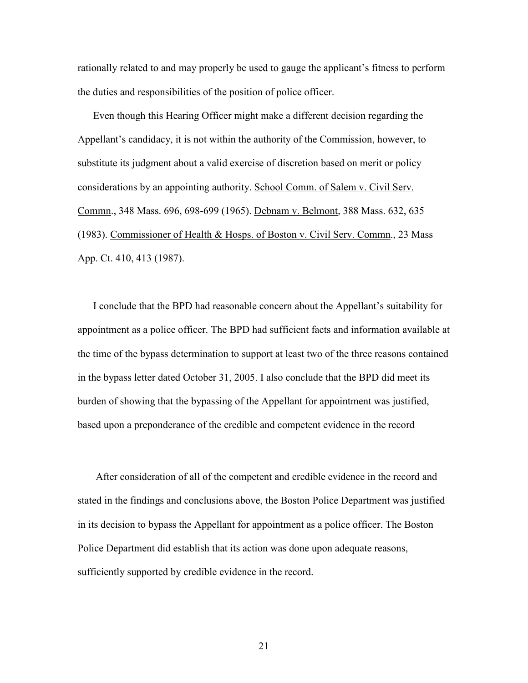rationally related to and may properly be used to gauge the applicant's fitness to perform the duties and responsibilities of the position of police officer.

 Even though this Hearing Officer might make a different decision regarding the Appellant's candidacy, it is not within the authority of the Commission, however, to substitute its judgment about a valid exercise of discretion based on merit or policy considerations by an appointing authority. School Comm. of Salem v. Civil Serv. Commn., 348 Mass. 696, 698-699 (1965). Debnam v. Belmont, 388 Mass. 632, 635 (1983). Commissioner of Health & Hosps. of Boston v. Civil Serv. Commn., 23 Mass App. Ct. 410, 413 (1987).

I conclude that the BPD had reasonable concern about the Appellant's suitability for appointment as a police officer. The BPD had sufficient facts and information available at the time of the bypass determination to support at least two of the three reasons contained in the bypass letter dated October 31, 2005. I also conclude that the BPD did meet its burden of showing that the bypassing of the Appellant for appointment was justified, based upon a preponderance of the credible and competent evidence in the record

 After consideration of all of the competent and credible evidence in the record and stated in the findings and conclusions above, the Boston Police Department was justified in its decision to bypass the Appellant for appointment as a police officer. The Boston Police Department did establish that its action was done upon adequate reasons, sufficiently supported by credible evidence in the record.